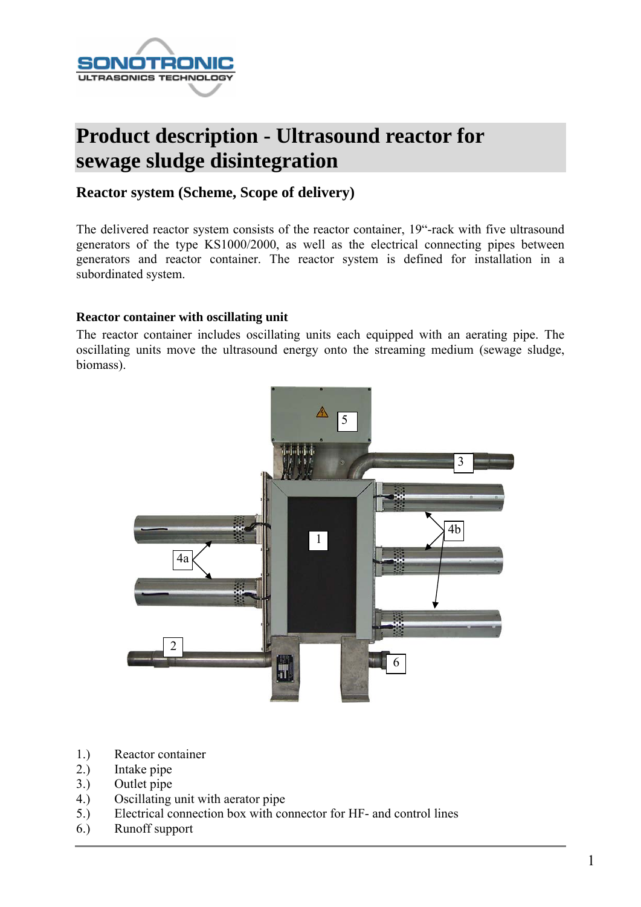

# **Product description - Ultrasound reactor for sewage sludge disintegration**

## **Reactor system (Scheme, Scope of delivery)**

The delivered reactor system consists of the reactor container, 19"-rack with five ultrasound generators of the type KS1000/2000, as well as the electrical connecting pipes between generators and reactor container. The reactor system is defined for installation in a subordinated system.

#### **Reactor container with oscillating unit**

The reactor container includes oscillating units each equipped with an aerating pipe. The oscillating units move the ultrasound energy onto the streaming medium (sewage sludge, biomass).



- 1.) Reactor container
- 2.) Intake pipe
- 3.) Outlet pipe
- 4.) Oscillating unit with aerator pipe
- 5.) Electrical connection box with connector for HF- and control lines
- 6.) Runoff support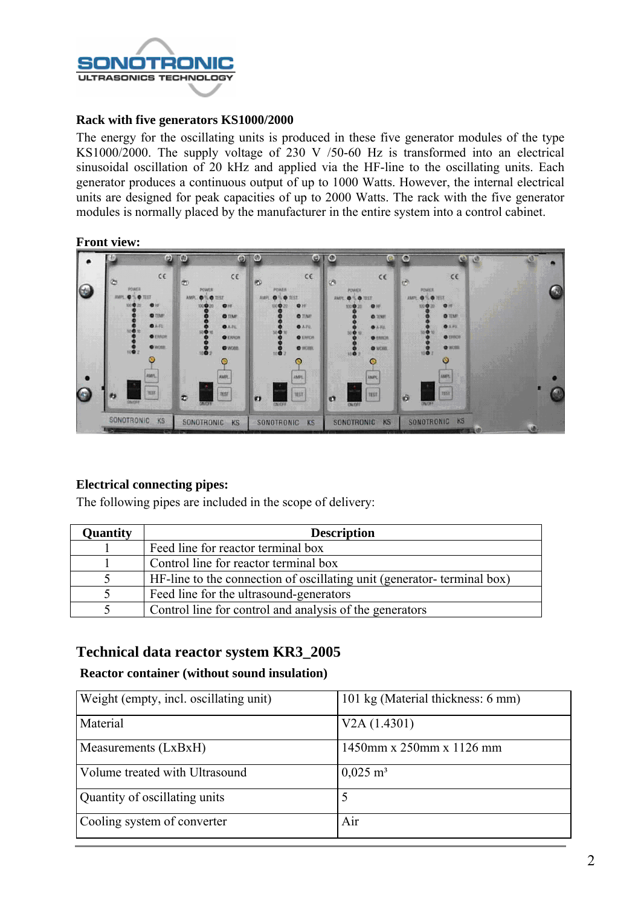

#### **Rack with five generators KS1000/2000**

The energy for the oscillating units is produced in these five generator modules of the type KS1000/2000. The supply voltage of 230 V /50-60 Hz is transformed into an electrical sinusoidal oscillation of 20 kHz and applied via the HF-line to the oscillating units. Each generator produces a continuous output of up to 1000 Watts. However, the internal electrical units are designed for peak capacities of up to 2000 Watts. The rack with the five generator modules is normally placed by the manufacturer in the entire system into a control cabinet.

#### **Front view:**



### **Electrical connecting pipes:**

The following pipes are included in the scope of delivery:

| Quantity | <b>Description</b>                                                     |
|----------|------------------------------------------------------------------------|
|          | Feed line for reactor terminal box                                     |
|          | Control line for reactor terminal box                                  |
|          | HF-line to the connection of oscillating unit (generator-terminal box) |
|          | Feed line for the ultrasound-generators                                |
|          | Control line for control and analysis of the generators                |

## **Technical data reactor system KR3\_2005**

#### **Reactor container (without sound insulation)**

| Weight (empty, incl. oscillating unit) | 101 kg (Material thickness: 6 mm) |
|----------------------------------------|-----------------------------------|
| Material                               | V2A(1.4301)                       |
| Measurements (LxBxH)                   | 1450mm x 250mm x 1126 mm          |
| Volume treated with Ultrasound         | $0,025 \; \mathrm{m}^3$           |
| Quantity of oscillating units          |                                   |
| Cooling system of converter            | Air                               |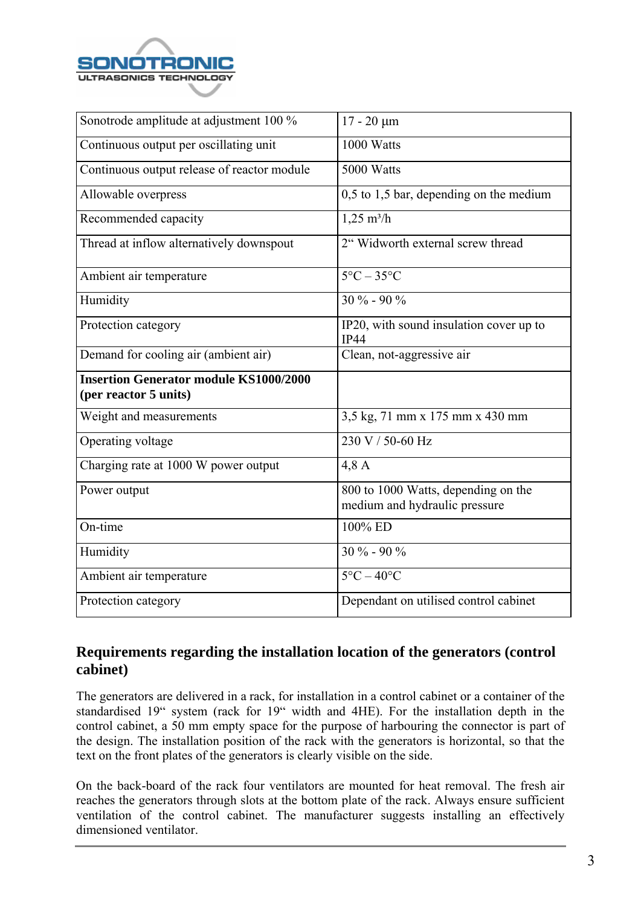

| Sonotrode amplitude at adjustment 100 %                                | $17 - 20 \mu m$                                                      |
|------------------------------------------------------------------------|----------------------------------------------------------------------|
| Continuous output per oscillating unit                                 | 1000 Watts                                                           |
| Continuous output release of reactor module                            | 5000 Watts                                                           |
| Allowable overpress                                                    | $0,5$ to 1,5 bar, depending on the medium                            |
| Recommended capacity                                                   | $1,25 \text{ m}^3/\text{h}$                                          |
| Thread at inflow alternatively downspout                               | 2" Widworth external screw thread                                    |
| Ambient air temperature                                                | $5^{\circ}$ C – 35 $^{\circ}$ C                                      |
| Humidity                                                               | $30\% - 90\%$                                                        |
| Protection category                                                    | IP20, with sound insulation cover up to<br><b>IP44</b>               |
| Demand for cooling air (ambient air)                                   | Clean, not-aggressive air                                            |
| <b>Insertion Generator module KS1000/2000</b><br>(per reactor 5 units) |                                                                      |
| Weight and measurements                                                | 3,5 kg, 71 mm x 175 mm x 430 mm                                      |
| Operating voltage                                                      | 230 V / 50-60 Hz                                                     |
| Charging rate at 1000 W power output                                   | 4,8A                                                                 |
| Power output                                                           | 800 to 1000 Watts, depending on the<br>medium and hydraulic pressure |
| On-time                                                                | 100% ED                                                              |
| Humidity                                                               | $30\% - 90\%$                                                        |
| Ambient air temperature                                                | $5^{\circ}$ C – 40 $^{\circ}$ C                                      |
| Protection category                                                    | Dependant on utilised control cabinet                                |

# **Requirements regarding the installation location of the generators (control cabinet)**

The generators are delivered in a rack, for installation in a control cabinet or a container of the standardised 19" system (rack for 19" width and 4HE). For the installation depth in the control cabinet, a 50 mm empty space for the purpose of harbouring the connector is part of the design. The installation position of the rack with the generators is horizontal, so that the text on the front plates of the generators is clearly visible on the side.

On the back-board of the rack four ventilators are mounted for heat removal. The fresh air reaches the generators through slots at the bottom plate of the rack. Always ensure sufficient ventilation of the control cabinet. The manufacturer suggests installing an effectively dimensioned ventilator.